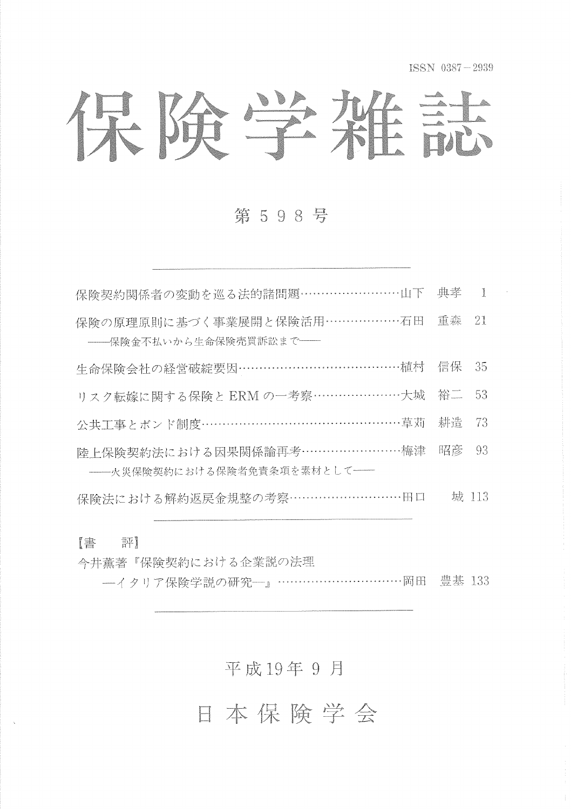ISSN 0387-2939

保险学难誌

### 第598号

| 保険契約関係者の変動を巡る法的諸問題……………………山下 典孝                                 | $\blacksquare$ |
|-----------------------------------------------------------------|----------------|
| 保険の原理原則に基づく事業展開と保険活用………………石田 重森 21<br>--保険金不払いから生命保険売買訴訟まで––    |                |
| 生命保険会社の経営破綻要因…………………………………植村 信保                                 | - 35           |
| リスク転嫁に関する保険と ERM の一考察 ………………………大城 裕二 53                         |                |
| 公共工事とボンド制度……………………………………………草苅 耕造                                | -73            |
| 陸上保険契約法における因果関係論再考……………………梅津 昭彦<br>-- 火災保険契約における保険者免責条項を素材として ー | - 93           |
| 保険法における解約返戻金規整の考察………………………田口                                    | 城 113          |

書 評

- 今井薫著『保険契約における企業説の法理
	- 険学 説 … … … … …

# 平成19年9月

日本保险学会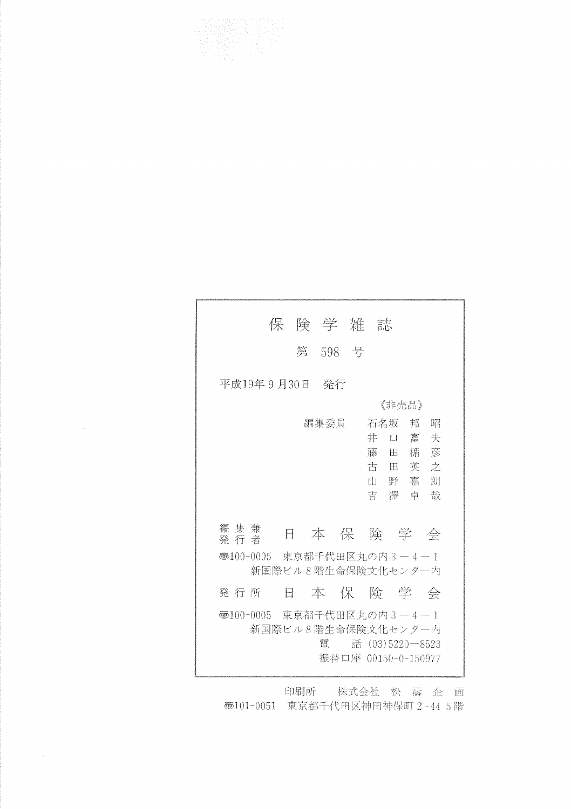

|                                  | 保険学雑誌   |                                        |   |
|----------------------------------|---------|----------------------------------------|---|
|                                  | 第 598 号 |                                        |   |
| 平成19年 9 月30日 - 発行                |         |                                        |   |
|                                  |         | 《非壳品》                                  |   |
|                                  | 編集委員    | 石名坂 邦 昭                                |   |
|                                  |         | こうしょう 井の口 富士 しんしょう                     | 夫 |
|                                  |         | 藤田楯彦                                   |   |
|                                  |         | 古田英之                                   |   |
|                                  |         | 山野嘉朗                                   |   |
|                                  |         | 吉澤卓                                    | 哉 |
|                                  |         |                                        |   |
| 編集兼<br>Η<br>発行者                  |         | 本保険学会                                  |   |
| ●100-0005 東京都千代田区丸の内3-4-1        |         | 新国際ビル8階生命保険文化センター内                     |   |
|                                  |         |                                        |   |
| Ħ<br>発 行 所                       |         | 本保険学会                                  |   |
| – 憑100-0005 東京都千代田区丸の内 3 − 4 − 1 |         | 新国際ビル8階生命保険文化センター内                     |   |
|                                  | 雷       | 話 (03)5220―8523<br>振蓉口座 00150-0-150977 |   |
|                                  |         |                                        |   |

印刷所 株式会社 松 濤 企 画 **西101-0051 東京都千代田区神田神保町 2-44 5階**